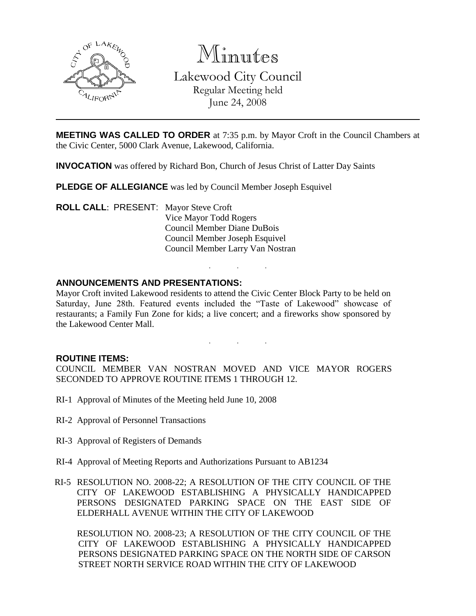

Minutes

Lakewood City Council Regular Meeting held June 24, 2008

**MEETING WAS CALLED TO ORDER** at 7:35 p.m. by Mayor Croft in the Council Chambers at the Civic Center, 5000 Clark Avenue, Lakewood, California.

**INVOCATION** was offered by Richard Bon, Church of Jesus Christ of Latter Day Saints

**PLEDGE OF ALLEGIANCE** was led by Council Member Joseph Esquivel

**ROLL CALL**: PRESENT: Mayor Steve Croft Vice Mayor Todd Rogers Council Member Diane DuBois Council Member Joseph Esquivel Council Member Larry Van Nostran

# **ANNOUNCEMENTS AND PRESENTATIONS:**

Mayor Croft invited Lakewood residents to attend the Civic Center Block Party to be held on Saturday, June 28th. Featured events included the "Taste of Lakewood" showcase of restaurants; a Family Fun Zone for kids; a live concert; and a fireworks show sponsored by the Lakewood Center Mall.

. . .

. . .

### **ROUTINE ITEMS:**

COUNCIL MEMBER VAN NOSTRAN MOVED AND VICE MAYOR ROGERS SECONDED TO APPROVE ROUTINE ITEMS 1 THROUGH 12.

- RI-1 Approval of Minutes of the Meeting held June 10, 2008
- RI-2 Approval of Personnel Transactions
- RI-3 Approval of Registers of Demands
- RI-4 Approval of Meeting Reports and Authorizations Pursuant to AB1234
- RI-5 RESOLUTION NO. 2008-22; A RESOLUTION OF THE CITY COUNCIL OF THE CITY OF LAKEWOOD ESTABLISHING A PHYSICALLY HANDICAPPED PERSONS DESIGNATED PARKING SPACE ON THE EAST SIDE OF ELDERHALL AVENUE WITHIN THE CITY OF LAKEWOOD

RESOLUTION NO. 2008-23; A RESOLUTION OF THE CITY COUNCIL OF THE CITY OF LAKEWOOD ESTABLISHING A PHYSICALLY HANDICAPPED PERSONS DESIGNATED PARKING SPACE ON THE NORTH SIDE OF CARSON STREET NORTH SERVICE ROAD WITHIN THE CITY OF LAKEWOOD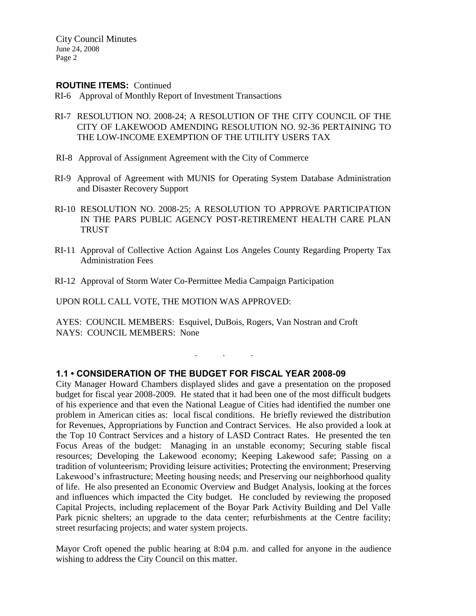#### **ROUTINE ITEMS:** Continued

- RI-6 Approval of Monthly Report of Investment Transactions
- RI-7 RESOLUTION NO. 2008-24; A RESOLUTION OF THE CITY COUNCIL OF THE CITY OF LAKEWOOD AMENDING RESOLUTION NO. 92-36 PERTAINING TO THE LOW-INCOME EXEMPTION OF THE UTILITY USERS TAX
- RI-8 Approval of Assignment Agreement with the City of Commerce
- RI-9 Approval of Agreement with MUNIS for Operating System Database Administration and Disaster Recovery Support
- RI-10 RESOLUTION NO. 2008-25; A RESOLUTION TO APPROVE PARTICIPATION IN THE PARS PUBLIC AGENCY POST-RETIREMENT HEALTH CARE PLAN **TRUST**
- RI-11 Approval of Collective Action Against Los Angeles County Regarding Property Tax Administration Fees
- RI-12 Approval of Storm Water Co-Permittee Media Campaign Participation

UPON ROLL CALL VOTE, THE MOTION WAS APPROVED:

AYES: COUNCIL MEMBERS: Esquivel, DuBois, Rogers, Van Nostran and Croft NAYS: COUNCIL MEMBERS: None

. . .

## **1.1 • CONSIDERATION OF THE BUDGET FOR FISCAL YEAR 2008-09**

City Manager Howard Chambers displayed slides and gave a presentation on the proposed budget for fiscal year 2008-2009. He stated that it had been one of the most difficult budgets of his experience and that even the National League of Cities had identified the number one problem in American cities as: local fiscal conditions. He briefly reviewed the distribution for Revenues, Appropriations by Function and Contract Services. He also provided a look at the Top 10 Contract Services and a history of LASD Contract Rates. He presented the ten Focus Areas of the budget: Managing in an unstable economy; Securing stable fiscal resources; Developing the Lakewood economy; Keeping Lakewood safe; Passing on a tradition of volunteerism; Providing leisure activities; Protecting the environment; Preserving Lakewood's infrastructure; Meeting housing needs; and Preserving our neighborhood quality of life. He also presented an Economic Overview and Budget Analysis, looking at the forces and influences which impacted the City budget. He concluded by reviewing the proposed Capital Projects, including replacement of the Boyar Park Activity Building and Del Valle Park picnic shelters; an upgrade to the data center; refurbishments at the Centre facility; street resurfacing projects; and water system projects.

Mayor Croft opened the public hearing at 8:04 p.m. and called for anyone in the audience wishing to address the City Council on this matter.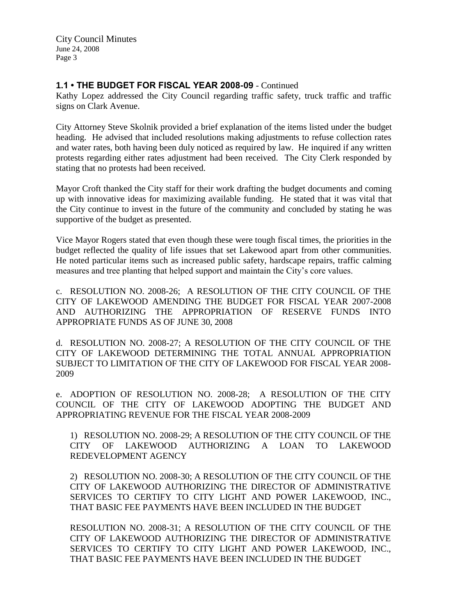# **1.1 • THE BUDGET FOR FISCAL YEAR 2008-09** - Continued

Kathy Lopez addressed the City Council regarding traffic safety, truck traffic and traffic signs on Clark Avenue.

City Attorney Steve Skolnik provided a brief explanation of the items listed under the budget heading. He advised that included resolutions making adjustments to refuse collection rates and water rates, both having been duly noticed as required by law. He inquired if any written protests regarding either rates adjustment had been received. The City Clerk responded by stating that no protests had been received.

Mayor Croft thanked the City staff for their work drafting the budget documents and coming up with innovative ideas for maximizing available funding. He stated that it was vital that the City continue to invest in the future of the community and concluded by stating he was supportive of the budget as presented.

Vice Mayor Rogers stated that even though these were tough fiscal times, the priorities in the budget reflected the quality of life issues that set Lakewood apart from other communities. He noted particular items such as increased public safety, hardscape repairs, traffic calming measures and tree planting that helped support and maintain the City's core values.

c. RESOLUTION NO. 2008-26; A RESOLUTION OF THE CITY COUNCIL OF THE CITY OF LAKEWOOD AMENDING THE BUDGET FOR FISCAL YEAR 2007-2008 AND AUTHORIZING THE APPROPRIATION OF RESERVE FUNDS INTO APPROPRIATE FUNDS AS OF JUNE 30, 2008

d. RESOLUTION NO. 2008-27; A RESOLUTION OF THE CITY COUNCIL OF THE CITY OF LAKEWOOD DETERMINING THE TOTAL ANNUAL APPROPRIATION SUBJECT TO LIMITATION OF THE CITY OF LAKEWOOD FOR FISCAL YEAR 2008- 2009

e. ADOPTION OF RESOLUTION NO. 2008-28; A RESOLUTION OF THE CITY COUNCIL OF THE CITY OF LAKEWOOD ADOPTING THE BUDGET AND APPROPRIATING REVENUE FOR THE FISCAL YEAR 2008-2009

1) RESOLUTION NO. 2008-29; A RESOLUTION OF THE CITY COUNCIL OF THE CITY OF LAKEWOOD AUTHORIZING A LOAN TO LAKEWOOD REDEVELOPMENT AGENCY

2) RESOLUTION NO. 2008-30; A RESOLUTION OF THE CITY COUNCIL OF THE CITY OF LAKEWOOD AUTHORIZING THE DIRECTOR OF ADMINISTRATIVE SERVICES TO CERTIFY TO CITY LIGHT AND POWER LAKEWOOD, INC., THAT BASIC FEE PAYMENTS HAVE BEEN INCLUDED IN THE BUDGET

RESOLUTION NO. 2008-31; A RESOLUTION OF THE CITY COUNCIL OF THE CITY OF LAKEWOOD AUTHORIZING THE DIRECTOR OF ADMINISTRATIVE SERVICES TO CERTIFY TO CITY LIGHT AND POWER LAKEWOOD, INC., THAT BASIC FEE PAYMENTS HAVE BEEN INCLUDED IN THE BUDGET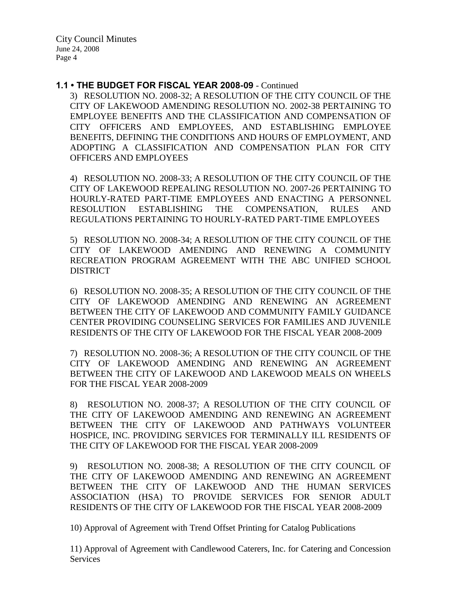### **1.1 • THE BUDGET FOR FISCAL YEAR 2008-09** - Continued

3) RESOLUTION NO. 2008-32; A RESOLUTION OF THE CITY COUNCIL OF THE CITY OF LAKEWOOD AMENDING RESOLUTION NO. 2002-38 PERTAINING TO EMPLOYEE BENEFITS AND THE CLASSIFICATION AND COMPENSATION OF CITY OFFICERS AND EMPLOYEES, AND ESTABLISHING EMPLOYEE BENEFITS, DEFINING THE CONDITIONS AND HOURS OF EMPLOYMENT, AND ADOPTING A CLASSIFICATION AND COMPENSATION PLAN FOR CITY OFFICERS AND EMPLOYEES

4) RESOLUTION NO. 2008-33; A RESOLUTION OF THE CITY COUNCIL OF THE CITY OF LAKEWOOD REPEALING RESOLUTION NO. 2007-26 PERTAINING TO HOURLY-RATED PART-TIME EMPLOYEES AND ENACTING A PERSONNEL RESOLUTION ESTABLISHING THE COMPENSATION, RULES AND REGULATIONS PERTAINING TO HOURLY-RATED PART-TIME EMPLOYEES

5) RESOLUTION NO. 2008-34; A RESOLUTION OF THE CITY COUNCIL OF THE CITY OF LAKEWOOD AMENDING AND RENEWING A COMMUNITY RECREATION PROGRAM AGREEMENT WITH THE ABC UNIFIED SCHOOL **DISTRICT** 

6) RESOLUTION NO. 2008-35; A RESOLUTION OF THE CITY COUNCIL OF THE CITY OF LAKEWOOD AMENDING AND RENEWING AN AGREEMENT BETWEEN THE CITY OF LAKEWOOD AND COMMUNITY FAMILY GUIDANCE CENTER PROVIDING COUNSELING SERVICES FOR FAMILIES AND JUVENILE RESIDENTS OF THE CITY OF LAKEWOOD FOR THE FISCAL YEAR 2008-2009

7) RESOLUTION NO. 2008-36; A RESOLUTION OF THE CITY COUNCIL OF THE CITY OF LAKEWOOD AMENDING AND RENEWING AN AGREEMENT BETWEEN THE CITY OF LAKEWOOD AND LAKEWOOD MEALS ON WHEELS FOR THE FISCAL YEAR 2008-2009

8) RESOLUTION NO. 2008-37; A RESOLUTION OF THE CITY COUNCIL OF THE CITY OF LAKEWOOD AMENDING AND RENEWING AN AGREEMENT BETWEEN THE CITY OF LAKEWOOD AND PATHWAYS VOLUNTEER HOSPICE, INC. PROVIDING SERVICES FOR TERMINALLY ILL RESIDENTS OF THE CITY OF LAKEWOOD FOR THE FISCAL YEAR 2008-2009

9) RESOLUTION NO. 2008-38; A RESOLUTION OF THE CITY COUNCIL OF THE CITY OF LAKEWOOD AMENDING AND RENEWING AN AGREEMENT BETWEEN THE CITY OF LAKEWOOD AND THE HUMAN SERVICES ASSOCIATION (HSA) TO PROVIDE SERVICES FOR SENIOR ADULT RESIDENTS OF THE CITY OF LAKEWOOD FOR THE FISCAL YEAR 2008-2009

10) Approval of Agreement with Trend Offset Printing for Catalog Publications

11) Approval of Agreement with Candlewood Caterers, Inc. for Catering and Concession Services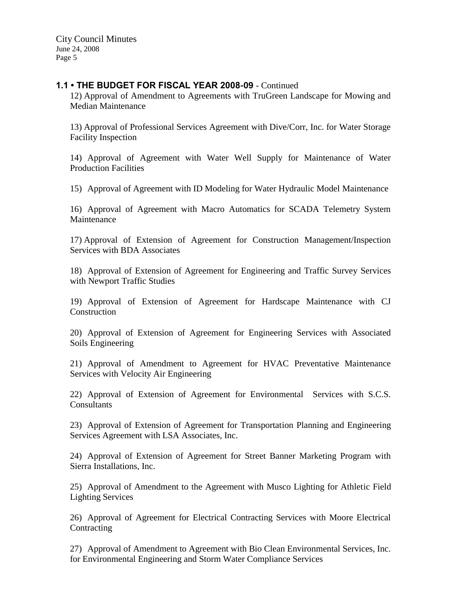### **1.1 • THE BUDGET FOR FISCAL YEAR 2008-09** - Continued

12) Approval of Amendment to Agreements with TruGreen Landscape for Mowing and Median Maintenance

13) Approval of Professional Services Agreement with Dive/Corr, Inc. for Water Storage Facility Inspection

14) Approval of Agreement with Water Well Supply for Maintenance of Water Production Facilities

15) Approval of Agreement with ID Modeling for Water Hydraulic Model Maintenance

16) Approval of Agreement with Macro Automatics for SCADA Telemetry System Maintenance

17) Approval of Extension of Agreement for Construction Management/Inspection Services with BDA Associates

18) Approval of Extension of Agreement for Engineering and Traffic Survey Services with Newport Traffic Studies

19) Approval of Extension of Agreement for Hardscape Maintenance with CJ Construction

20) Approval of Extension of Agreement for Engineering Services with Associated Soils Engineering

21) Approval of Amendment to Agreement for HVAC Preventative Maintenance Services with Velocity Air Engineering

22) Approval of Extension of Agreement for Environmental Services with S.C.S. **Consultants** 

23) Approval of Extension of Agreement for Transportation Planning and Engineering Services Agreement with LSA Associates, Inc.

24) Approval of Extension of Agreement for Street Banner Marketing Program with Sierra Installations, Inc.

25) Approval of Amendment to the Agreement with Musco Lighting for Athletic Field Lighting Services

26) Approval of Agreement for Electrical Contracting Services with Moore Electrical **Contracting** 

27) Approval of Amendment to Agreement with Bio Clean Environmental Services, Inc. for Environmental Engineering and Storm Water Compliance Services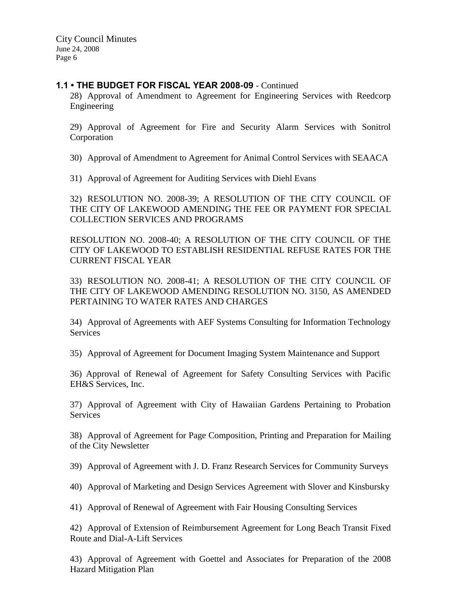## **1.1 • THE BUDGET FOR FISCAL YEAR 2008-09** - Continued

28) Approval of Amendment to Agreement for Engineering Services with Reedcorp Engineering

29) Approval of Agreement for Fire and Security Alarm Services with Sonitrol Corporation

30) Approval of Amendment to Agreement for Animal Control Services with SEAACA

31) Approval of Agreement for Auditing Services with Diehl Evans

32) RESOLUTION NO. 2008-39; A RESOLUTION OF THE CITY COUNCIL OF THE CITY OF LAKEWOOD AMENDING THE FEE OR PAYMENT FOR SPECIAL COLLECTION SERVICES AND PROGRAMS

RESOLUTION NO. 2008-40; A RESOLUTION OF THE CITY COUNCIL OF THE CITY OF LAKEWOOD TO ESTABLISH RESIDENTIAL REFUSE RATES FOR THE CURRENT FISCAL YEAR

33) RESOLUTION NO. 2008-41; A RESOLUTION OF THE CITY COUNCIL OF THE CITY OF LAKEWOOD AMENDING RESOLUTION NO. 3150, AS AMENDED PERTAINING TO WATER RATES AND CHARGES

34) Approval of Agreements with AEF Systems Consulting for Information Technology **Services** 

35) Approval of Agreement for Document Imaging System Maintenance and Support

36) Approval of Renewal of Agreement for Safety Consulting Services with Pacific EH&S Services, Inc.

37) Approval of Agreement with City of Hawaiian Gardens Pertaining to Probation **Services** 

38) Approval of Agreement for Page Composition, Printing and Preparation for Mailing of the City Newsletter

39) Approval of Agreement with J. D. Franz Research Services for Community Surveys

40) Approval of Marketing and Design Services Agreement with Slover and Kinsbursky

41) Approval of Renewal of Agreement with Fair Housing Consulting Services

42) Approval of Extension of Reimbursement Agreement for Long Beach Transit Fixed Route and Dial-A-Lift Services

43) Approval of Agreement with Goettel and Associates for Preparation of the 2008 Hazard Mitigation Plan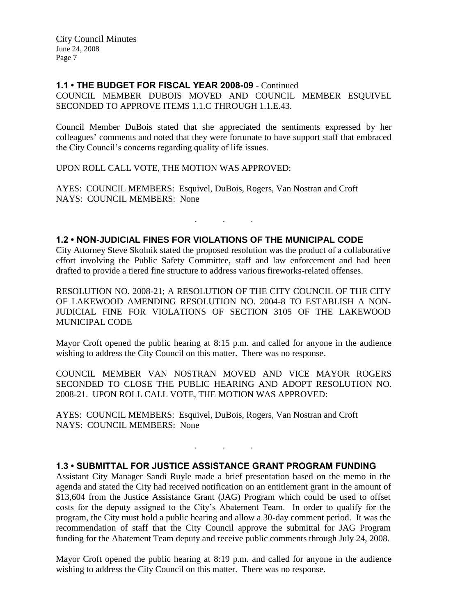### **1.1 • THE BUDGET FOR FISCAL YEAR 2008-09** - Continued

COUNCIL MEMBER DUBOIS MOVED AND COUNCIL MEMBER ESQUIVEL SECONDED TO APPROVE ITEMS 1.1.C THROUGH 1.1.E.43.

Council Member DuBois stated that she appreciated the sentiments expressed by her colleagues' comments and noted that they were fortunate to have support staff that embraced the City Council's concerns regarding quality of life issues.

UPON ROLL CALL VOTE, THE MOTION WAS APPROVED:

AYES: COUNCIL MEMBERS: Esquivel, DuBois, Rogers, Van Nostran and Croft NAYS: COUNCIL MEMBERS: None

### **1.2 • NON-JUDICIAL FINES FOR VIOLATIONS OF THE MUNICIPAL CODE**

City Attorney Steve Skolnik stated the proposed resolution was the product of a collaborative effort involving the Public Safety Committee, staff and law enforcement and had been drafted to provide a tiered fine structure to address various fireworks-related offenses.

. . .

RESOLUTION NO. 2008-21; A RESOLUTION OF THE CITY COUNCIL OF THE CITY OF LAKEWOOD AMENDING RESOLUTION NO. 2004-8 TO ESTABLISH A NON-JUDICIAL FINE FOR VIOLATIONS OF SECTION 3105 OF THE LAKEWOOD MUNICIPAL CODE

Mayor Croft opened the public hearing at 8:15 p.m. and called for anyone in the audience wishing to address the City Council on this matter. There was no response.

COUNCIL MEMBER VAN NOSTRAN MOVED AND VICE MAYOR ROGERS SECONDED TO CLOSE THE PUBLIC HEARING AND ADOPT RESOLUTION NO. 2008-21. UPON ROLL CALL VOTE, THE MOTION WAS APPROVED:

AYES: COUNCIL MEMBERS: Esquivel, DuBois, Rogers, Van Nostran and Croft NAYS: COUNCIL MEMBERS: None

## **1.3 • SUBMITTAL FOR JUSTICE ASSISTANCE GRANT PROGRAM FUNDING**

. . .

Assistant City Manager Sandi Ruyle made a brief presentation based on the memo in the agenda and stated the City had received notification on an entitlement grant in the amount of \$13,604 from the Justice Assistance Grant (JAG) Program which could be used to offset costs for the deputy assigned to the City's Abatement Team. In order to qualify for the program, the City must hold a public hearing and allow a 30-day comment period. It was the recommendation of staff that the City Council approve the submittal for JAG Program funding for the Abatement Team deputy and receive public comments through July 24, 2008.

Mayor Croft opened the public hearing at 8:19 p.m. and called for anyone in the audience wishing to address the City Council on this matter. There was no response.